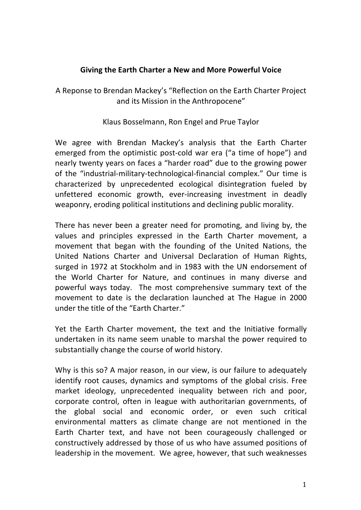## **Giving the Earth Charter a New and More Powerful Voice**

A Reponse to Brendan Mackey's "Reflection on the Earth Charter Project and its Mission in the Anthropocene"

Klaus Bosselmann, Ron Engel and Prue Taylor

We agree with Brendan Mackey's analysis that the Earth Charter emerged from the optimistic post-cold war era ("a time of hope") and nearly twenty years on faces a "harder road" due to the growing power of the "industrial-military-technological-financial complex." Our time is characterized by unprecedented ecological disintegration fueled by unfettered economic growth, ever-increasing investment in deadly weaponry, eroding political institutions and declining public morality.

There has never been a greater need for promoting, and living by, the values and principles expressed in the Earth Charter movement, a movement that began with the founding of the United Nations, the United Nations Charter and Universal Declaration of Human Rights, surged in 1972 at Stockholm and in 1983 with the UN endorsement of the World Charter for Nature, and continues in many diverse and powerful ways today. The most comprehensive summary text of the movement to date is the declaration launched at The Hague in 2000 under the title of the "Farth Charter."

Yet the Earth Charter movement, the text and the Initiative formally undertaken in its name seem unable to marshal the power required to substantially change the course of world history.

Why is this so? A major reason, in our view, is our failure to adequately identify root causes, dynamics and symptoms of the global crisis. Free market ideology, unprecedented inequality between rich and poor, corporate control, often in league with authoritarian governments, of the global social and economic order, or even such critical environmental matters as climate change are not mentioned in the Earth Charter text, and have not been courageously challenged or constructively addressed by those of us who have assumed positions of leadership in the movement. We agree, however, that such weaknesses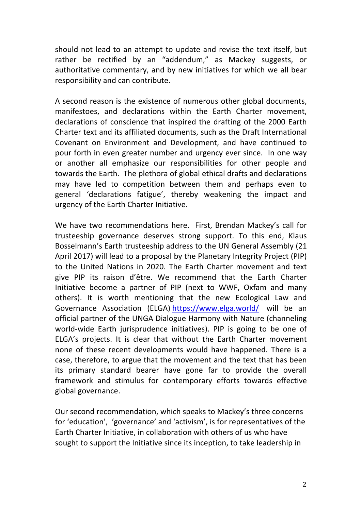should not lead to an attempt to update and revise the text itself, but rather be rectified by an "addendum," as Mackey suggests, or authoritative commentary, and by new initiatives for which we all bear responsibility and can contribute.

A second reason is the existence of numerous other global documents, manifestoes, and declarations within the Earth Charter movement, declarations of conscience that inspired the drafting of the 2000 Earth Charter text and its affiliated documents, such as the Draft International Covenant on Environment and Development, and have continued to pour forth in even greater number and urgency ever since. In one way or another all emphasize our responsibilities for other people and towards the Earth. The plethora of global ethical drafts and declarations may have led to competition between them and perhaps even to general 'declarations fatigue', thereby weakening the impact and urgency of the Earth Charter Initiative.

We have two recommendations here. First, Brendan Mackey's call for trusteeship governance deserves strong support. To this end, Klaus Bosselmann's Earth trusteeship address to the UN General Assembly (21 April 2017) will lead to a proposal by the Planetary Integrity Project (PIP) to the United Nations in 2020. The Earth Charter movement and text give PIP its raison d'être. We recommend that the Earth Charter Initiative become a partner of PIP (next to WWF, Oxfam and many others). It is worth mentioning that the new Ecological Law and Governance Association (ELGA) https://www.elga.world/ will be an official partner of the UNGA Dialogue Harmony with Nature (channeling world-wide Earth jurisprudence initiatives). PIP is going to be one of ELGA's projects. It is clear that without the Earth Charter movement none of these recent developments would have happened. There is a case, therefore, to argue that the movement and the text that has been its primary standard bearer have gone far to provide the overall framework and stimulus for contemporary efforts towards effective global governance.

Our second recommendation, which speaks to Mackey's three concerns for 'education', 'governance' and 'activism', is for representatives of the Earth Charter Initiative, in collaboration with others of us who have sought to support the Initiative since its inception, to take leadership in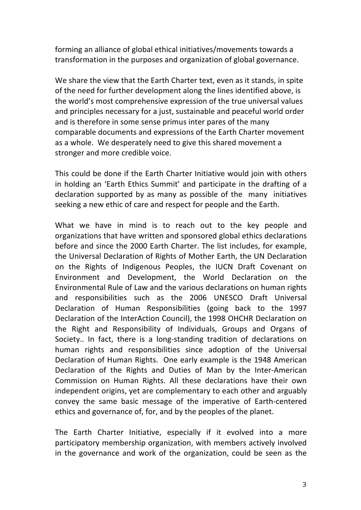forming an alliance of global ethical initiatives/movements towards a transformation in the purposes and organization of global governance.

We share the view that the Earth Charter text, even as it stands, in spite of the need for further development along the lines identified above, is the world's most comprehensive expression of the true universal values and principles necessary for a just, sustainable and peaceful world order and is therefore in some sense primus inter pares of the many comparable documents and expressions of the Earth Charter movement as a whole. We desperately need to give this shared movement a stronger and more credible voice.

This could be done if the Earth Charter Initiative would join with others in holding an 'Earth Ethics Summit' and participate in the drafting of a declaration supported by as many as possible of the many initiatives seeking a new ethic of care and respect for people and the Earth.

What we have in mind is to reach out to the key people and organizations that have written and sponsored global ethics declarations before and since the 2000 Earth Charter. The list includes, for example, the Universal Declaration of Rights of Mother Earth, the UN Declaration on the Rights of Indigenous Peoples, the IUCN Draft Covenant on Environment and Development, the World Declaration on the Environmental Rule of Law and the various declarations on human rights and responsibilities such as the 2006 UNESCO Draft Universal Declaration of Human Responsibilities (going back to the 1997 Declaration of the InterAction Council), the 1998 OHCHR Declaration on the Right and Responsibility of Individuals, Groups and Organs of Society.. In fact, there is a long-standing tradition of declarations on human rights and responsibilities since adoption of the Universal Declaration of Human Rights. One early example is the 1948 American Declaration of the Rights and Duties of Man by the Inter-American Commission on Human Rights. All these declarations have their own independent origins, yet are complementary to each other and arguably convey the same basic message of the imperative of Earth-centered ethics and governance of, for, and by the peoples of the planet.

The Earth Charter Initiative, especially if it evolved into a more participatory membership organization, with members actively involved in the governance and work of the organization, could be seen as the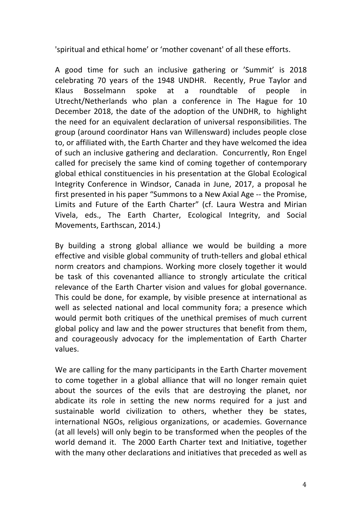'spiritual and ethical home' or 'mother covenant' of all these efforts.

A good time for such an inclusive gathering or 'Summit' is 2018 celebrating 70 years of the 1948 UNDHR. Recently, Prue Taylor and Klaus Bosselmann spoke at a roundtable of people in Utrecht/Netherlands who plan a conference in The Hague for 10 December 2018, the date of the adoption of the UNDHR, to highlight the need for an equivalent declaration of universal responsibilities. The group (around coordinator Hans van Willensward) includes people close to, or affiliated with, the Earth Charter and they have welcomed the idea of such an inclusive gathering and declaration. Concurrently, Ron Engel called for precisely the same kind of coming together of contemporary global ethical constituencies in his presentation at the Global Ecological Integrity Conference in Windsor, Canada in June, 2017, a proposal he first presented in his paper "Summons to a New Axial Age -- the Promise, Limits and Future of the Earth Charter" (cf. Laura Westra and Mirian Vivela, eds., The Earth Charter, Ecological Integrity, and Social Movements, Earthscan, 2014.)

By building a strong global alliance we would be building a more effective and visible global community of truth-tellers and global ethical norm creators and champions. Working more closely together it would be task of this covenanted alliance to strongly articulate the critical relevance of the Earth Charter vision and values for global governance. This could be done, for example, by visible presence at international as well as selected national and local community fora; a presence which would permit both critiques of the unethical premises of much current global policy and law and the power structures that benefit from them, and courageously advocacy for the implementation of Earth Charter values. 

We are calling for the many participants in the Earth Charter movement to come together in a global alliance that will no longer remain quiet about the sources of the evils that are destroying the planet, nor abdicate its role in setting the new norms required for a just and sustainable world civilization to others, whether they be states, international NGOs, religious organizations, or academies. Governance (at all levels) will only begin to be transformed when the peoples of the world demand it. The 2000 Earth Charter text and Initiative, together with the many other declarations and initiatives that preceded as well as